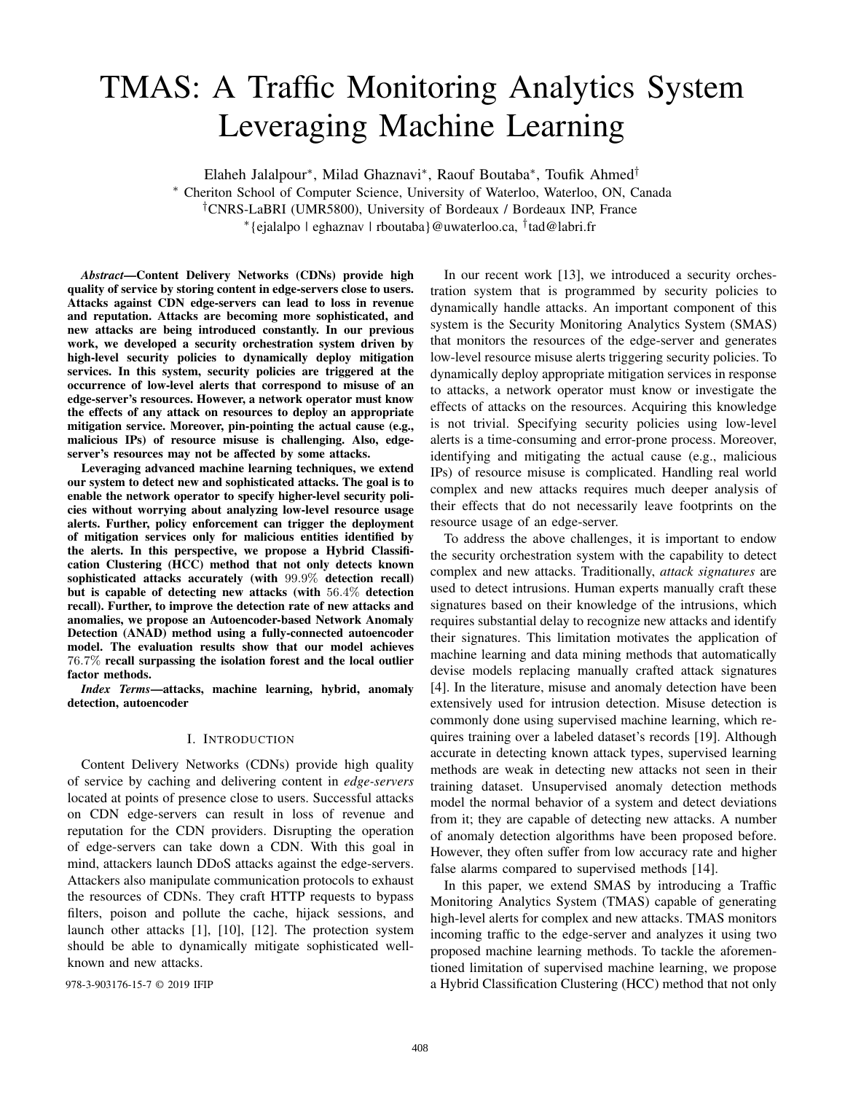# TMAS: A Traffic Monitoring Analytics System Leveraging Machine Learning

Elaheh Jalalpour<sup>∗</sup> , Milad Ghaznavi<sup>∗</sup> , Raouf Boutaba<sup>∗</sup> , Toufik Ahmed†

<sup>∗</sup> Cheriton School of Computer Science, University of Waterloo, Waterloo, ON, Canada

†CNRS-LaBRI (UMR5800), University of Bordeaux / Bordeaux INP, France

∗ {ejalalpo | eghaznav | rboutaba}@uwaterloo.ca, † tad@labri.fr

*Abstract*—Content Delivery Networks (CDNs) provide high quality of service by storing content in edge-servers close to users. Attacks against CDN edge-servers can lead to loss in revenue and reputation. Attacks are becoming more sophisticated, and new attacks are being introduced constantly. In our previous work, we developed a security orchestration system driven by high-level security policies to dynamically deploy mitigation services. In this system, security policies are triggered at the occurrence of low-level alerts that correspond to misuse of an edge-server's resources. However, a network operator must know the effects of any attack on resources to deploy an appropriate mitigation service. Moreover, pin-pointing the actual cause (e.g., malicious IPs) of resource misuse is challenging. Also, edgeserver's resources may not be affected by some attacks.

Leveraging advanced machine learning techniques, we extend our system to detect new and sophisticated attacks. The goal is to enable the network operator to specify higher-level security policies without worrying about analyzing low-level resource usage alerts. Further, policy enforcement can trigger the deployment of mitigation services only for malicious entities identified by the alerts. In this perspective, we propose a Hybrid Classification Clustering (HCC) method that not only detects known sophisticated attacks accurately (with 99.9% detection recall) but is capable of detecting new attacks (with 56.4% detection recall). Further, to improve the detection rate of new attacks and anomalies, we propose an Autoencoder-based Network Anomaly Detection (ANAD) method using a fully-connected autoencoder model. The evaluation results show that our model achieves 76.7% recall surpassing the isolation forest and the local outlier factor methods.

*Index Terms*—attacks, machine learning, hybrid, anomaly detection, autoencoder

#### I. INTRODUCTION

Content Delivery Networks (CDNs) provide high quality of service by caching and delivering content in *edge-servers* located at points of presence close to users. Successful attacks on CDN edge-servers can result in loss of revenue and reputation for the CDN providers. Disrupting the operation of edge-servers can take down a CDN. With this goal in mind, attackers launch DDoS attacks against the edge-servers. Attackers also manipulate communication protocols to exhaust the resources of CDNs. They craft HTTP requests to bypass filters, poison and pollute the cache, hijack sessions, and launch other attacks [1], [10], [12]. The protection system should be able to dynamically mitigate sophisticated wellknown and new attacks.

In our recent work [13], we introduced a security orchestration system that is programmed by security policies to dynamically handle attacks. An important component of this system is the Security Monitoring Analytics System (SMAS) that monitors the resources of the edge-server and generates low-level resource misuse alerts triggering security policies. To dynamically deploy appropriate mitigation services in response to attacks, a network operator must know or investigate the effects of attacks on the resources. Acquiring this knowledge is not trivial. Specifying security policies using low-level alerts is a time-consuming and error-prone process. Moreover, identifying and mitigating the actual cause (e.g., malicious IPs) of resource misuse is complicated. Handling real world complex and new attacks requires much deeper analysis of their effects that do not necessarily leave footprints on the resource usage of an edge-server.

To address the above challenges, it is important to endow the security orchestration system with the capability to detect complex and new attacks. Traditionally, *attack signatures* are used to detect intrusions. Human experts manually craft these signatures based on their knowledge of the intrusions, which requires substantial delay to recognize new attacks and identify their signatures. This limitation motivates the application of machine learning and data mining methods that automatically devise models replacing manually crafted attack signatures [4]. In the literature, misuse and anomaly detection have been extensively used for intrusion detection. Misuse detection is commonly done using supervised machine learning, which requires training over a labeled dataset's records [19]. Although accurate in detecting known attack types, supervised learning methods are weak in detecting new attacks not seen in their training dataset. Unsupervised anomaly detection methods model the normal behavior of a system and detect deviations from it; they are capable of detecting new attacks. A number of anomaly detection algorithms have been proposed before. However, they often suffer from low accuracy rate and higher false alarms compared to supervised methods [14].

In this paper, we extend SMAS by introducing a Traffic Monitoring Analytics System (TMAS) capable of generating high-level alerts for complex and new attacks. TMAS monitors incoming traffic to the edge-server and analyzes it using two proposed machine learning methods. To tackle the aforementioned limitation of supervised machine learning, we propose 978-3-903176-15-7 © 2019 IFIP a Hybrid Classification Clustering (HCC) method that not only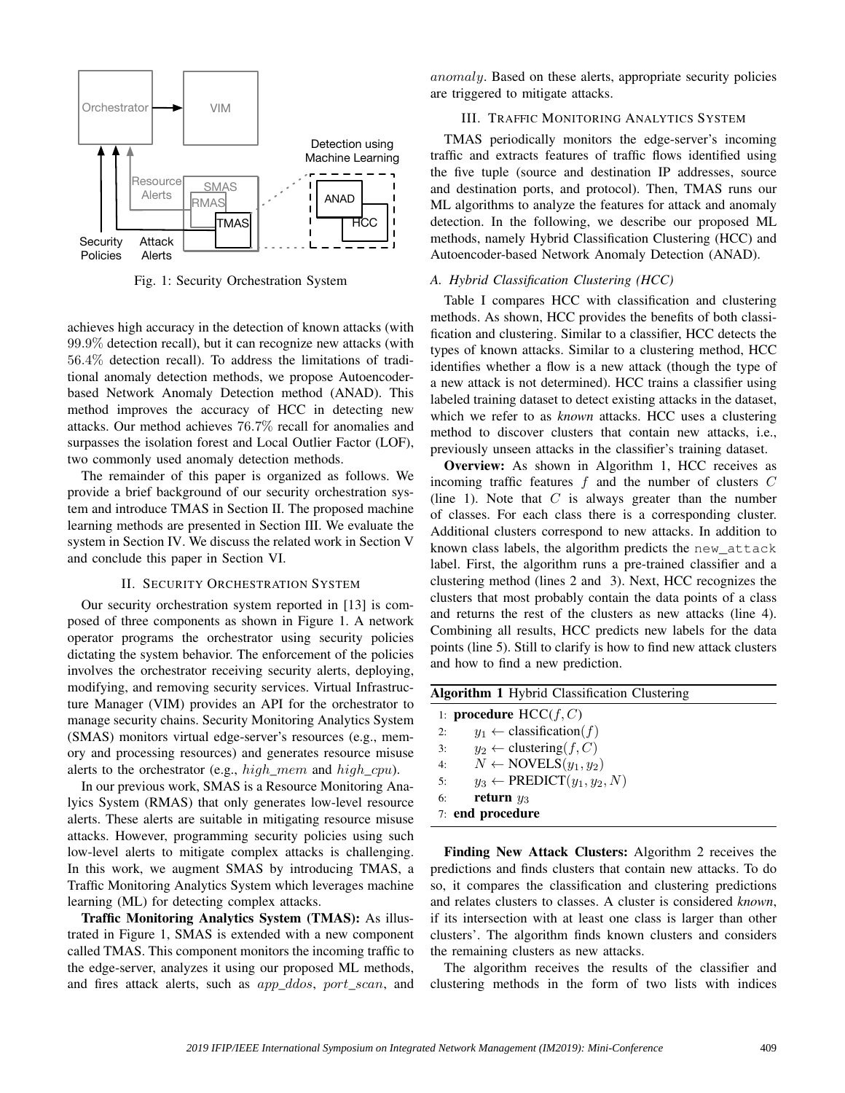

Fig. 1: Security Orchestration System

achieves high accuracy in the detection of known attacks (with 99.9% detection recall), but it can recognize new attacks (with 56.4% detection recall). To address the limitations of traditional anomaly detection methods, we propose Autoencoderbased Network Anomaly Detection method (ANAD). This method improves the accuracy of HCC in detecting new attacks. Our method achieves 76.7% recall for anomalies and surpasses the isolation forest and Local Outlier Factor (LOF), two commonly used anomaly detection methods.

The remainder of this paper is organized as follows. We provide a brief background of our security orchestration system and introduce TMAS in Section II. The proposed machine learning methods are presented in Section III. We evaluate the system in Section IV. We discuss the related work in Section V and conclude this paper in Section VI.

#### II. SECURITY ORCHESTRATION SYSTEM

Our security orchestration system reported in [13] is composed of three components as shown in Figure 1. A network operator programs the orchestrator using security policies dictating the system behavior. The enforcement of the policies involves the orchestrator receiving security alerts, deploying, modifying, and removing security services. Virtual Infrastructure Manager (VIM) provides an API for the orchestrator to manage security chains. Security Monitoring Analytics System (SMAS) monitors virtual edge-server's resources (e.g., memory and processing resources) and generates resource misuse alerts to the orchestrator (e.g., high\_mem and high\_cpu).

In our previous work, SMAS is a Resource Monitoring Analyics System (RMAS) that only generates low-level resource alerts. These alerts are suitable in mitigating resource misuse attacks. However, programming security policies using such low-level alerts to mitigate complex attacks is challenging. In this work, we augment SMAS by introducing TMAS, a Traffic Monitoring Analytics System which leverages machine learning (ML) for detecting complex attacks.

Traffic Monitoring Analytics System (TMAS): As illustrated in Figure 1, SMAS is extended with a new component called TMAS. This component monitors the incoming traffic to the edge-server, analyzes it using our proposed ML methods, and fires attack alerts, such as app ddos, port scan, and anomaly. Based on these alerts, appropriate security policies are triggered to mitigate attacks.

## III. TRAFFIC MONITORING ANALYTICS SYSTEM

TMAS periodically monitors the edge-server's incoming traffic and extracts features of traffic flows identified using the five tuple (source and destination IP addresses, source and destination ports, and protocol). Then, TMAS runs our ML algorithms to analyze the features for attack and anomaly detection. In the following, we describe our proposed ML methods, namely Hybrid Classification Clustering (HCC) and Autoencoder-based Network Anomaly Detection (ANAD).

## *A. Hybrid Classification Clustering (HCC)*

Table I compares HCC with classification and clustering methods. As shown, HCC provides the benefits of both classification and clustering. Similar to a classifier, HCC detects the types of known attacks. Similar to a clustering method, HCC identifies whether a flow is a new attack (though the type of a new attack is not determined). HCC trains a classifier using labeled training dataset to detect existing attacks in the dataset, which we refer to as *known* attacks. HCC uses a clustering method to discover clusters that contain new attacks, i.e., previously unseen attacks in the classifier's training dataset.

Overview: As shown in Algorithm 1, HCC receives as incoming traffic features  $f$  and the number of clusters  $C$ (line 1). Note that  $C$  is always greater than the number of classes. For each class there is a corresponding cluster. Additional clusters correspond to new attacks. In addition to known class labels, the algorithm predicts the new\_attack label. First, the algorithm runs a pre-trained classifier and a clustering method (lines 2 and 3). Next, HCC recognizes the clusters that most probably contain the data points of a class and returns the rest of the clusters as new attacks (line 4). Combining all results, HCC predicts new labels for the data points (line 5). Still to clarify is how to find new attack clusters and how to find a new prediction.

| <b>Algorithm 1 Hybrid Classification Clustering</b> |
|-----------------------------------------------------|
| 1: <b>procedure</b> $HCC(f, C)$                     |
| $y_1 \leftarrow$ classification(f)<br>2:            |
| $y_2 \leftarrow$ clustering(f, C)<br>3:             |
| $N \leftarrow \text{NOVELS}(y_1, y_2)$<br>4:        |
| $y_3 \leftarrow \text{PREDICT}(y_1, y_2, N)$<br>5:  |
| return $y_3$<br>6:                                  |
| 7: end procedure                                    |
|                                                     |

Finding New Attack Clusters: Algorithm 2 receives the predictions and finds clusters that contain new attacks. To do so, it compares the classification and clustering predictions and relates clusters to classes. A cluster is considered *known*, if its intersection with at least one class is larger than other clusters'. The algorithm finds known clusters and considers the remaining clusters as new attacks.

The algorithm receives the results of the classifier and clustering methods in the form of two lists with indices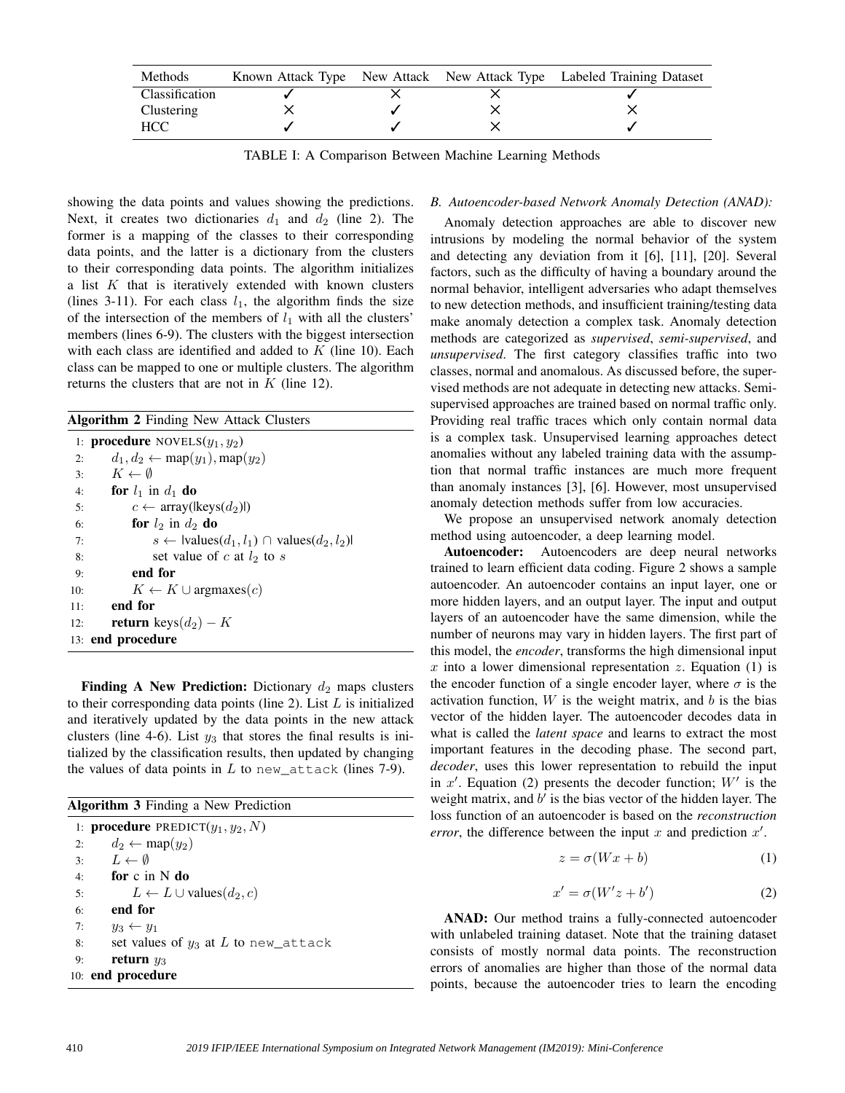| Methods        |  | Known Attack Type New Attack New Attack Type Labeled Training Dataset |
|----------------|--|-----------------------------------------------------------------------|
| Classification |  |                                                                       |
| Clustering     |  |                                                                       |
| HCC.           |  |                                                                       |

TABLE I: A Comparison Between Machine Learning Methods

showing the data points and values showing the predictions. Next, it creates two dictionaries  $d_1$  and  $d_2$  (line 2). The former is a mapping of the classes to their corresponding data points, and the latter is a dictionary from the clusters to their corresponding data points. The algorithm initializes a list  $K$  that is iteratively extended with known clusters (lines 3-11). For each class  $l_1$ , the algorithm finds the size of the intersection of the members of  $l_1$  with all the clusters' members (lines 6-9). The clusters with the biggest intersection with each class are identified and added to  $K$  (line 10). Each class can be mapped to one or multiple clusters. The algorithm returns the clusters that are not in  $K$  (line 12).

Algorithm 2 Finding New Attack Clusters

1: **procedure** NOVELS $(y_1, y_2)$ 2:  $d_1, d_2 \leftarrow \text{map}(y_1), \text{map}(y_2)$ 3:  $K \leftarrow \emptyset$ 4: for  $l_1$  in  $d_1$  do 5:  $c \leftarrow \text{array}(|\text{keys}(d_2)|)$ 6: **for**  $l_2$  in  $d_2$  **do** 7: s ← |values( $d_1, l_1$ ) ∩ values( $d_2, l_2$ )| 8: set value of c at  $l_2$  to s 9: end for 10:  $K \leftarrow K \cup \text{argmaxes}(c)$ 11: end for 12: **return** keys $(d_2) - K$ 13: end procedure

**Finding A New Prediction:** Dictionary  $d_2$  maps clusters to their corresponding data points (line 2). List  $L$  is initialized and iteratively updated by the data points in the new attack clusters (line 4-6). List  $y_3$  that stores the final results is initialized by the classification results, then updated by changing the values of data points in  $L$  to new\_attack (lines 7-9).

|    | <b>Algorithm 3</b> Finding a New Prediction |
|----|---------------------------------------------|
|    | 1: <b>procedure</b> PREDICT $(y_1, y_2, N)$ |
| 2: | $d_2 \leftarrow \text{map}(y_2)$            |
| 3: | $L \leftarrow \emptyset$                    |
| 4: | for $c$ in $N$ do                           |
| 5: | $L \leftarrow L \cup \text{values}(d_2, c)$ |
| 6: | end for                                     |
| 7: | $y_3 \leftarrow y_1$                        |
| 8: | set values of $y_3$ at L to new attack      |
| 9: | return $y_3$                                |
|    | 10: end procedure                           |

## *B. Autoencoder-based Network Anomaly Detection (ANAD):*

Anomaly detection approaches are able to discover new intrusions by modeling the normal behavior of the system and detecting any deviation from it [6], [11], [20]. Several factors, such as the difficulty of having a boundary around the normal behavior, intelligent adversaries who adapt themselves to new detection methods, and insufficient training/testing data make anomaly detection a complex task. Anomaly detection methods are categorized as *supervised*, *semi-supervised*, and *unsupervised*. The first category classifies traffic into two classes, normal and anomalous. As discussed before, the supervised methods are not adequate in detecting new attacks. Semisupervised approaches are trained based on normal traffic only. Providing real traffic traces which only contain normal data is a complex task. Unsupervised learning approaches detect anomalies without any labeled training data with the assumption that normal traffic instances are much more frequent than anomaly instances [3], [6]. However, most unsupervised anomaly detection methods suffer from low accuracies.

We propose an unsupervised network anomaly detection method using autoencoder, a deep learning model.

Autoencoder: Autoencoders are deep neural networks trained to learn efficient data coding. Figure 2 shows a sample autoencoder. An autoencoder contains an input layer, one or more hidden layers, and an output layer. The input and output layers of an autoencoder have the same dimension, while the number of neurons may vary in hidden layers. The first part of this model, the *encoder*, transforms the high dimensional input  $x$  into a lower dimensional representation  $z$ . Equation (1) is the encoder function of a single encoder layer, where  $\sigma$  is the activation function,  $W$  is the weight matrix, and  $b$  is the bias vector of the hidden layer. The autoencoder decodes data in what is called the *latent space* and learns to extract the most important features in the decoding phase. The second part, *decoder*, uses this lower representation to rebuild the input in  $x'$ . Equation (2) presents the decoder function;  $W'$  is the weight matrix, and  $b'$  is the bias vector of the hidden layer. The loss function of an autoencoder is based on the *reconstruction error*, the difference between the input  $x$  and prediction  $x'$ .

$$
z = \sigma(Wx + b) \tag{1}
$$

$$
x' = \sigma(W'z + b')\tag{2}
$$

ANAD: Our method trains a fully-connected autoencoder with unlabeled training dataset. Note that the training dataset consists of mostly normal data points. The reconstruction errors of anomalies are higher than those of the normal data points, because the autoencoder tries to learn the encoding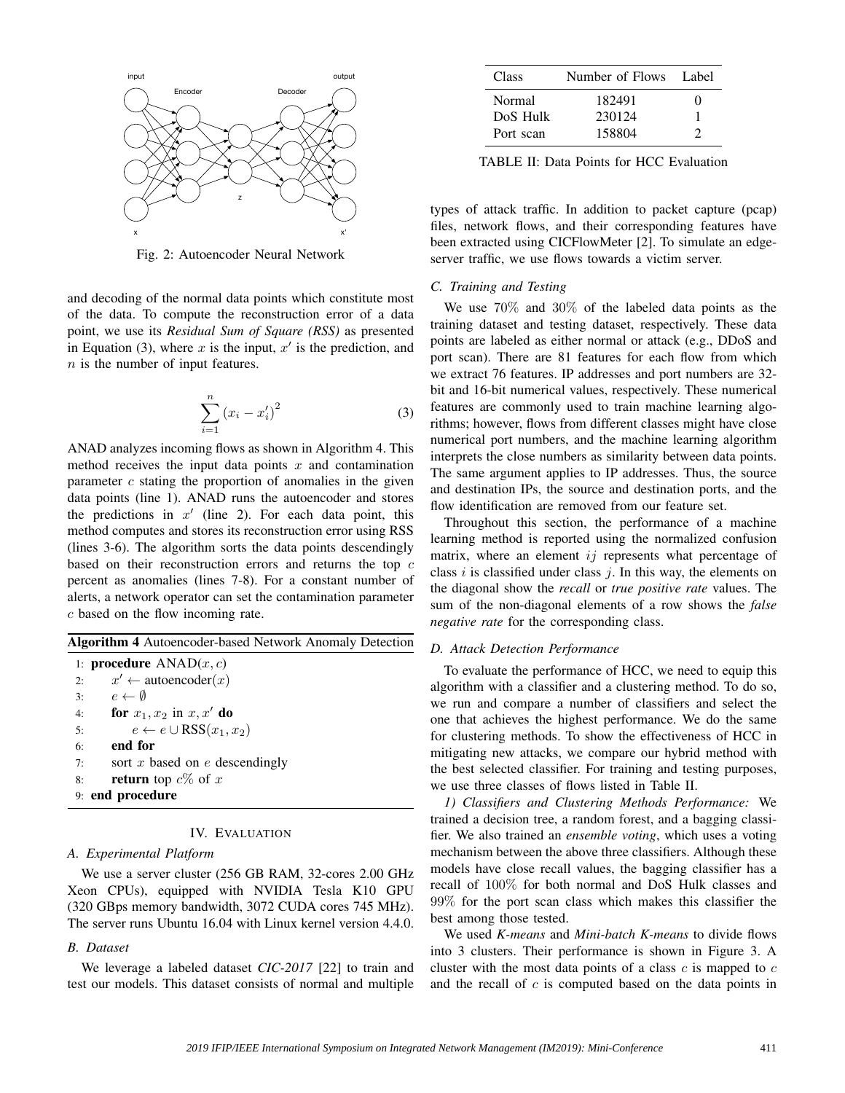

Fig. 2: Autoencoder Neural Network

and decoding of the normal data points which constitute most of the data. To compute the reconstruction error of a data point, we use its *Residual Sum of Square (RSS)* as presented in Equation (3), where  $x$  is the input,  $x'$  is the prediction, and  $n$  is the number of input features.

$$
\sum_{i=1}^{n} (x_i - x'_i)^2
$$
 (3)

ANAD analyzes incoming flows as shown in Algorithm 4. This method receives the input data points  $x$  and contamination parameter  $c$  stating the proportion of anomalies in the given data points (line 1). ANAD runs the autoencoder and stores the predictions in  $x'$  (line 2). For each data point, this method computes and stores its reconstruction error using RSS (lines 3-6). The algorithm sorts the data points descendingly based on their reconstruction errors and returns the top c percent as anomalies (lines 7-8). For a constant number of alerts, a network operator can set the contamination parameter c based on the flow incoming rate.

|    | <b>Algorithm 4</b> Autoencoder-based Network Anomaly Detection |
|----|----------------------------------------------------------------|
|    | 1: <b>procedure</b> $ANAD(x, c)$                               |
| 2: | $x' \leftarrow$ autoencoder $(x)$                              |
| 3: | $e \leftarrow \emptyset$                                       |
| 4: | for $x_1, x_2$ in $x, x'$ do                                   |
| 5: | $e \leftarrow e \cup \text{RSS}(x_1, x_2)$                     |
| 6: | end for                                                        |
| 7: | sort $x$ based on $e$ descendingly                             |
| 8: | <b>return</b> top $c\%$ of x                                   |
|    | 9: end procedure                                               |
|    |                                                                |

# IV. EVALUATION

## *A. Experimental Platform*

We use a server cluster (256 GB RAM, 32-cores 2.00 GHz Xeon CPUs), equipped with NVIDIA Tesla K10 GPU (320 GBps memory bandwidth, 3072 CUDA cores 745 MHz). The server runs Ubuntu 16.04 with Linux kernel version 4.4.0.

## *B. Dataset*

We leverage a labeled dataset *CIC-2017* [22] to train and test our models. This dataset consists of normal and multiple

| Class     | Number of Flows | Label             |
|-----------|-----------------|-------------------|
| Normal    | 182491          | $\mathbf{\Omega}$ |
| DoS Hulk  | 230124          |                   |
| Port scan | 158804          | Э.                |

TABLE II: Data Points for HCC Evaluation

types of attack traffic. In addition to packet capture (pcap) files, network flows, and their corresponding features have been extracted using CICFlowMeter [2]. To simulate an edgeserver traffic, we use flows towards a victim server.

## *C. Training and Testing*

We use 70% and 30% of the labeled data points as the training dataset and testing dataset, respectively. These data points are labeled as either normal or attack (e.g., DDoS and port scan). There are 81 features for each flow from which we extract 76 features. IP addresses and port numbers are 32 bit and 16-bit numerical values, respectively. These numerical features are commonly used to train machine learning algorithms; however, flows from different classes might have close numerical port numbers, and the machine learning algorithm interprets the close numbers as similarity between data points. The same argument applies to IP addresses. Thus, the source and destination IPs, the source and destination ports, and the flow identification are removed from our feature set.

Throughout this section, the performance of a machine learning method is reported using the normalized confusion matrix, where an element  $ij$  represents what percentage of class i is classified under class  $j$ . In this way, the elements on the diagonal show the *recall* or *true positive rate* values. The sum of the non-diagonal elements of a row shows the *false negative rate* for the corresponding class.

#### *D. Attack Detection Performance*

To evaluate the performance of HCC, we need to equip this algorithm with a classifier and a clustering method. To do so, we run and compare a number of classifiers and select the one that achieves the highest performance. We do the same for clustering methods. To show the effectiveness of HCC in mitigating new attacks, we compare our hybrid method with the best selected classifier. For training and testing purposes, we use three classes of flows listed in Table II.

*1) Classifiers and Clustering Methods Performance:* We trained a decision tree, a random forest, and a bagging classifier. We also trained an *ensemble voting*, which uses a voting mechanism between the above three classifiers. Although these models have close recall values, the bagging classifier has a recall of 100% for both normal and DoS Hulk classes and 99% for the port scan class which makes this classifier the best among those tested.

We used *K-means* and *Mini-batch K-means* to divide flows into 3 clusters. Their performance is shown in Figure 3. A cluster with the most data points of a class  $c$  is mapped to  $c$ and the recall of  $c$  is computed based on the data points in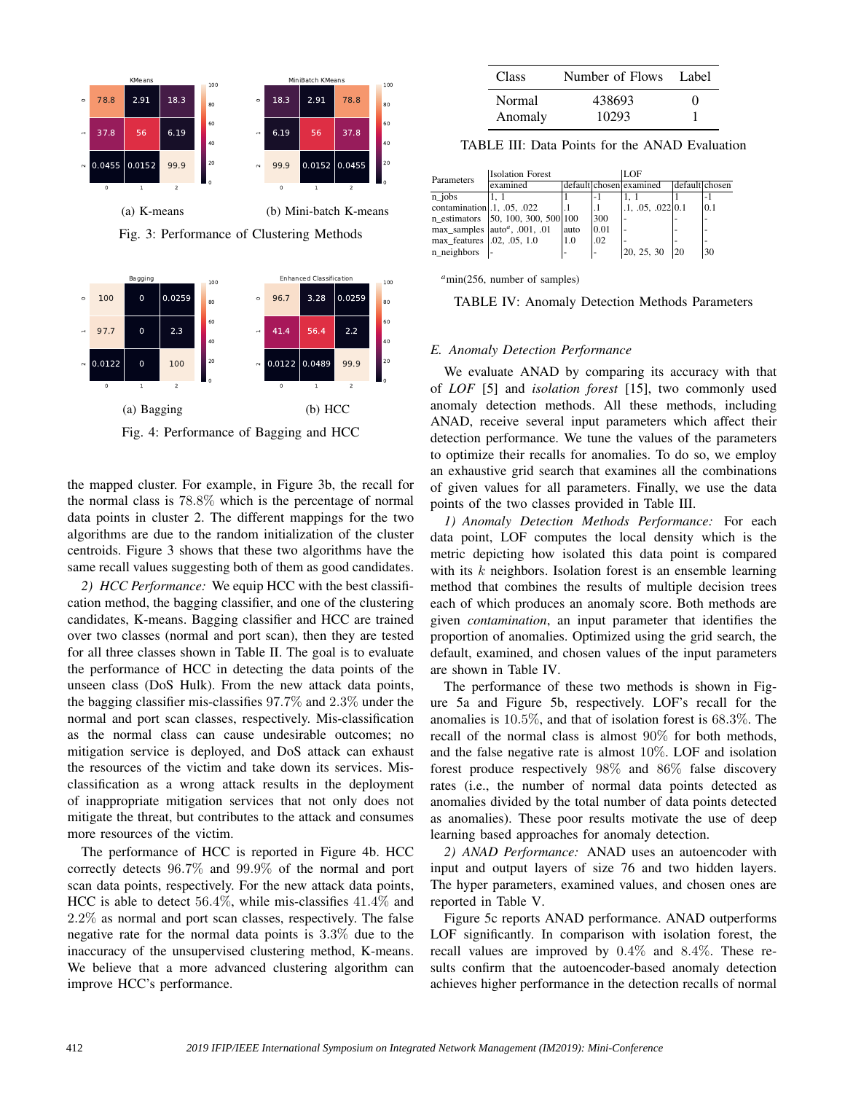

Fig. 3: Performance of Clustering Methods



Fig. 4: Performance of Bagging and HCC

the mapped cluster. For example, in Figure 3b, the recall for the normal class is 78.8% which is the percentage of normal data points in cluster 2. The different mappings for the two algorithms are due to the random initialization of the cluster centroids. Figure 3 shows that these two algorithms have the same recall values suggesting both of them as good candidates.

*2) HCC Performance:* We equip HCC with the best classification method, the bagging classifier, and one of the clustering candidates, K-means. Bagging classifier and HCC are trained over two classes (normal and port scan), then they are tested for all three classes shown in Table II. The goal is to evaluate the performance of HCC in detecting the data points of the unseen class (DoS Hulk). From the new attack data points, the bagging classifier mis-classifies 97.7% and 2.3% under the normal and port scan classes, respectively. Mis-classification as the normal class can cause undesirable outcomes; no mitigation service is deployed, and DoS attack can exhaust the resources of the victim and take down its services. Misclassification as a wrong attack results in the deployment of inappropriate mitigation services that not only does not mitigate the threat, but contributes to the attack and consumes more resources of the victim.

The performance of HCC is reported in Figure 4b. HCC correctly detects 96.7% and 99.9% of the normal and port scan data points, respectively. For the new attack data points, HCC is able to detect 56.4%, while mis-classifies 41.4% and 2.2% as normal and port scan classes, respectively. The false negative rate for the normal data points is 3.3% due to the inaccuracy of the unsupervised clustering method, K-means. We believe that a more advanced clustering algorithm can improve HCC's performance.

| Class   | Number of Flows Label |          |  |
|---------|-----------------------|----------|--|
| Normal  | 438693                | $^{(1)}$ |  |
| Anomaly | 10293                 |          |  |

TABLE III: Data Points for the ANAD Evaluation

| Parameters                                  | <b>Isolation Forest</b>                              |      |       | LOF                      |               |     |
|---------------------------------------------|------------------------------------------------------|------|-------|--------------------------|---------------|-----|
|                                             | examined                                             |      |       | default chosen lexamined | defaultchosen |     |
| n jobs                                      |                                                      |      | - 1   |                          |               |     |
| contamination $ .1, .05, .022$              |                                                      |      |       | .1, .05, .022   0.1      |               | 0.1 |
| n estimators                                | [50, 100, 300, 500]                                  |      | 300   |                          |               |     |
|                                             | max_samples $ $ auto <sup><i>a</i></sup> , .001, .01 | auto | 10.01 |                          |               |     |
| $max_f$ eatures $\vert .02, .05, 1.0 \vert$ |                                                      | 1.0  | .02   |                          |               |     |
| n_neighbors                                 |                                                      |      |       | 20, 25, 30               | 20            | 30  |

*<sup>a</sup>*min(256, number of samples)

TABLE IV: Anomaly Detection Methods Parameters

## *E. Anomaly Detection Performance*

We evaluate ANAD by comparing its accuracy with that of *LOF* [5] and *isolation forest* [15], two commonly used anomaly detection methods. All these methods, including ANAD, receive several input parameters which affect their detection performance. We tune the values of the parameters to optimize their recalls for anomalies. To do so, we employ an exhaustive grid search that examines all the combinations of given values for all parameters. Finally, we use the data points of the two classes provided in Table III.

*1) Anomaly Detection Methods Performance:* For each data point, LOF computes the local density which is the metric depicting how isolated this data point is compared with its  $k$  neighbors. Isolation forest is an ensemble learning method that combines the results of multiple decision trees each of which produces an anomaly score. Both methods are given *contamination*, an input parameter that identifies the proportion of anomalies. Optimized using the grid search, the default, examined, and chosen values of the input parameters are shown in Table IV.

The performance of these two methods is shown in Figure 5a and Figure 5b, respectively. LOF's recall for the anomalies is 10.5%, and that of isolation forest is 68.3%. The recall of the normal class is almost 90% for both methods, and the false negative rate is almost 10%. LOF and isolation forest produce respectively 98% and 86% false discovery rates (i.e., the number of normal data points detected as anomalies divided by the total number of data points detected as anomalies). These poor results motivate the use of deep learning based approaches for anomaly detection.

*2) ANAD Performance:* ANAD uses an autoencoder with input and output layers of size 76 and two hidden layers. The hyper parameters, examined values, and chosen ones are reported in Table V.

Figure 5c reports ANAD performance. ANAD outperforms LOF significantly. In comparison with isolation forest, the recall values are improved by 0.4% and 8.4%. These results confirm that the autoencoder-based anomaly detection achieves higher performance in the detection recalls of normal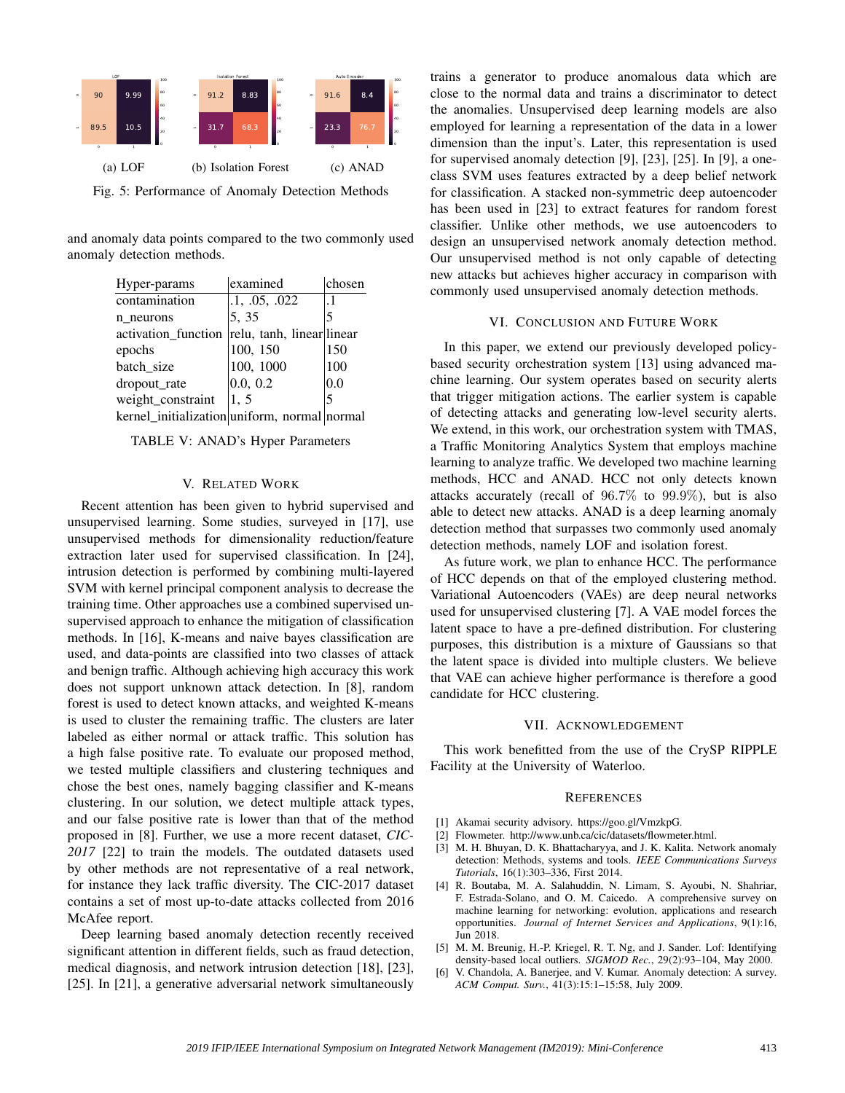

Fig. 5: Performance of Anomaly Detection Methods

and anomaly data points compared to the two commonly used anomaly detection methods.

| Hyper-params                                  | examined                  | chosen |
|-----------------------------------------------|---------------------------|--------|
| contamination                                 | .1, .05, .022             | . 1    |
| n neurons                                     | 5, 35                     |        |
| activation_function                           | relu, tanh, linear linear |        |
| epochs                                        | 100, 150                  | 150    |
| batch size                                    | 100, 1000                 | 100    |
| dropout_rate                                  | 0.0, 0.2                  | 0.0    |
| weight_constraint                             | 1, 5                      |        |
| kernel_initialization uniform, normal  normal |                           |        |

#### TABLE V: ANAD's Hyper Parameters

#### V. RELATED WORK

Recent attention has been given to hybrid supervised and unsupervised learning. Some studies, surveyed in [17], use unsupervised methods for dimensionality reduction/feature extraction later used for supervised classification. In [24], intrusion detection is performed by combining multi-layered SVM with kernel principal component analysis to decrease the training time. Other approaches use a combined supervised unsupervised approach to enhance the mitigation of classification methods. In [16], K-means and naive bayes classification are used, and data-points are classified into two classes of attack and benign traffic. Although achieving high accuracy this work does not support unknown attack detection. In [8], random forest is used to detect known attacks, and weighted K-means is used to cluster the remaining traffic. The clusters are later labeled as either normal or attack traffic. This solution has a high false positive rate. To evaluate our proposed method, we tested multiple classifiers and clustering techniques and chose the best ones, namely bagging classifier and K-means clustering. In our solution, we detect multiple attack types, and our false positive rate is lower than that of the method proposed in [8]. Further, we use a more recent dataset, *CIC-2017* [22] to train the models. The outdated datasets used by other methods are not representative of a real network, for instance they lack traffic diversity. The CIC-2017 dataset contains a set of most up-to-date attacks collected from 2016 McAfee report.

Deep learning based anomaly detection recently received significant attention in different fields, such as fraud detection, medical diagnosis, and network intrusion detection [18], [23], [25]. In [21], a generative adversarial network simultaneously trains a generator to produce anomalous data which are close to the normal data and trains a discriminator to detect the anomalies. Unsupervised deep learning models are also employed for learning a representation of the data in a lower dimension than the input's. Later, this representation is used for supervised anomaly detection [9], [23], [25]. In [9], a oneclass SVM uses features extracted by a deep belief network for classification. A stacked non-symmetric deep autoencoder has been used in [23] to extract features for random forest classifier. Unlike other methods, we use autoencoders to design an unsupervised network anomaly detection method. Our unsupervised method is not only capable of detecting new attacks but achieves higher accuracy in comparison with commonly used unsupervised anomaly detection methods.

#### VI. CONCLUSION AND FUTURE WORK

In this paper, we extend our previously developed policybased security orchestration system [13] using advanced machine learning. Our system operates based on security alerts that trigger mitigation actions. The earlier system is capable of detecting attacks and generating low-level security alerts. We extend, in this work, our orchestration system with TMAS, a Traffic Monitoring Analytics System that employs machine learning to analyze traffic. We developed two machine learning methods, HCC and ANAD. HCC not only detects known attacks accurately (recall of 96.7% to 99.9%), but is also able to detect new attacks. ANAD is a deep learning anomaly detection method that surpasses two commonly used anomaly detection methods, namely LOF and isolation forest.

As future work, we plan to enhance HCC. The performance of HCC depends on that of the employed clustering method. Variational Autoencoders (VAEs) are deep neural networks used for unsupervised clustering [7]. A VAE model forces the latent space to have a pre-defined distribution. For clustering purposes, this distribution is a mixture of Gaussians so that the latent space is divided into multiple clusters. We believe that VAE can achieve higher performance is therefore a good candidate for HCC clustering.

#### VII. ACKNOWLEDGEMENT

This work benefitted from the use of the CrySP RIPPLE Facility at the University of Waterloo.

#### **REFERENCES**

- [1] Akamai security advisory. https://goo.gl/VmzkpG.
- [2] Flowmeter. http://www.unb.ca/cic/datasets/flowmeter.html.
- [3] M. H. Bhuyan, D. K. Bhattacharyya, and J. K. Kalita. Network anomaly detection: Methods, systems and tools. *IEEE Communications Surveys Tutorials*, 16(1):303–336, First 2014.
- [4] R. Boutaba, M. A. Salahuddin, N. Limam, S. Ayoubi, N. Shahriar, F. Estrada-Solano, and O. M. Caicedo. A comprehensive survey on machine learning for networking: evolution, applications and research opportunities. *Journal of Internet Services and Applications*, 9(1):16, Jun 2018.
- [5] M. M. Breunig, H.-P. Kriegel, R. T. Ng, and J. Sander. Lof: Identifying density-based local outliers. *SIGMOD Rec.*, 29(2):93–104, May 2000.
- [6] V. Chandola, A. Banerjee, and V. Kumar. Anomaly detection: A survey. *ACM Comput. Surv.*, 41(3):15:1–15:58, July 2009.